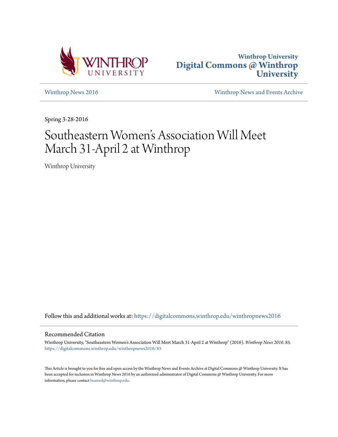



[Winthrop News 2016](https://digitalcommons.winthrop.edu/winthropnews2016?utm_source=digitalcommons.winthrop.edu%2Fwinthropnews2016%2F85&utm_medium=PDF&utm_campaign=PDFCoverPages) [Winthrop News and Events Archive](https://digitalcommons.winthrop.edu/winthropnewsarchives?utm_source=digitalcommons.winthrop.edu%2Fwinthropnews2016%2F85&utm_medium=PDF&utm_campaign=PDFCoverPages)

Spring 3-28-2016

# Southeastern Women 's Association Will Meet March 31-April 2 at Winthrop

Winthrop University

Follow this and additional works at: [https://digitalcommons.winthrop.edu/winthropnews2016](https://digitalcommons.winthrop.edu/winthropnews2016?utm_source=digitalcommons.winthrop.edu%2Fwinthropnews2016%2F85&utm_medium=PDF&utm_campaign=PDFCoverPages)

## Recommended Citation

Winthrop University, "Southeastern Women's Association Will Meet March 31-April 2 at Winthrop" (2016). *Winthrop News 2016*. 85. [https://digitalcommons.winthrop.edu/winthropnews2016/85](https://digitalcommons.winthrop.edu/winthropnews2016/85?utm_source=digitalcommons.winthrop.edu%2Fwinthropnews2016%2F85&utm_medium=PDF&utm_campaign=PDFCoverPages)

This Article is brought to you for free and open access by the Winthrop News and Events Archive at Digital Commons @ Winthrop University. It has been accepted for inclusion in Winthrop News 2016 by an authorized administrator of Digital Commons @ Winthrop University. For more information, please contact [bramed@winthrop.edu](mailto:bramed@winthrop.edu).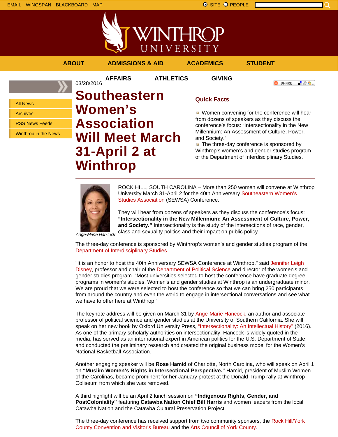



**AFFAIRS ATHLETICS GIVING**

**ABOUT ADMISSIONS & AID ACADEMICS STUDENT**

**O** SHARE - 89 年 -

All News

Archives

RSS News Feeds

Winthrop in the News

# 03/28/2016 **Southeastern Women's Association Will Meet March 31-April 2 at Winthrop**

# **Quick Facts**

**Women convening for the conference will hear** from dozens of speakers as they discuss the conference's focus: "Intersectionality in the New Millennium: An Assessment of Culture, Power, and Society."

 $\blacksquare$  The three-day conference is sponsored by Winthrop's women's and gender studies program of the Department of Interdisciplinary Studies.



ROCK HILL, SOUTH CAROLINA – More than 250 women will convene at Winthrop University March 31-April 2 for the 40th Anniversary Southeastern Women's Studies Association (SEWSA) Conference.

They will hear from dozens of speakers as they discuss the conference's focus: **"Intersectionality in the New Millennium: An Assessment of Culture, Power, and Society."** Intersectionality is the study of the intersections of race, gender, class and sexuality politics and their impact on public policy.

Ange-Marie Hancock

The three-day conference is sponsored by Winthrop's women's and gender studies program of the Department of Interdisciplinary Studies.

"It is an honor to host the 40th Anniversary SEWSA Conference at Winthrop," said Jennifer Leigh Disney, professor and chair of the Department of Political Science and director of the women's and gender studies program. "Most universities selected to host the conference have graduate degree programs in women's studies. Women's and gender studies at Winthrop is an undergraduate minor. We are proud that we were selected to host the conference so that we can bring 250 participants from around the country and even the world to engage in intersectional conversations and see what we have to offer here at Winthrop."

The keynote address will be given on March 31 by Ange-Marie Hancock, an author and associate professor of political science and gender studies at the University of Southern California. She will speak on her new book by Oxford University Press, "Intersectionality: An Intellectual History" (2016). As one of the primary scholarly authorities on intersectionality, Hancock is widely quoted in the media, has served as an international expert in American politics for the U.S. Department of State, and conducted the preliminary research and created the original business model for the Women's National Basketball Association.

Another engaging speaker will be **Rose Hamid** of Charlotte, North Carolina, who will speak on April 1 on **"Muslim Women's Rights in Intersectional Perspective."** Hamid, president of Muslim Women of the Carolinas, became prominent for her January protest at the Donald Trump rally at Winthrop Coliseum from which she was removed.

A third highlight will be an April 2 lunch session on **"Indigenous Rights, Gender, and PostColoniality"** featuring **Catawba Nation Chief Bill Harris** and women leaders from the local Catawba Nation and the Catawba Cultural Preservation Project.

The three-day conference has received support from two community sponsors, the Rock Hill/York County Convention and Visitor's Bureau and the Arts Council of York County.